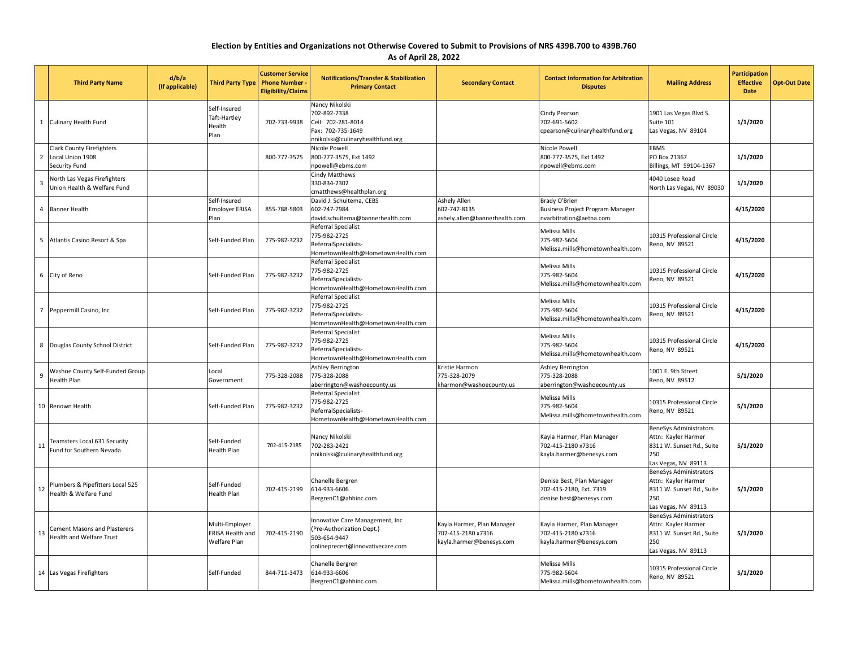## **Election by Entities and Organizations not Otherwise Covered to Submit to Provisions of NRS 439B.700 to 439B.760**

**As of April 28, 2022**

|                         | <b>Third Party Name</b>                                            | d/b/a<br>(If applicable) | <b>Third Party Type</b>                            | <b>Customer Service</b><br><b>Phone Number</b><br><b>Eligibility/Claims</b> | <b>Notifications/Transfer &amp; Stabilization</b><br><b>Primary Contact</b>                                     | <b>Secondary Contact</b>                                                     | <b>Contact Information for Arbitration</b><br><b>Disputes</b>                   | <b>Mailing Address</b>                                                                                         | <b>Participation</b><br><b>Effective</b><br>Date | <b>Opt-Out Date</b> |
|-------------------------|--------------------------------------------------------------------|--------------------------|----------------------------------------------------|-----------------------------------------------------------------------------|-----------------------------------------------------------------------------------------------------------------|------------------------------------------------------------------------------|---------------------------------------------------------------------------------|----------------------------------------------------------------------------------------------------------------|--------------------------------------------------|---------------------|
|                         | 1 Culinary Health Fund                                             |                          | Self-Insured<br>Taft-Hartley<br>Health<br>Plan     | 702-733-9938                                                                | Nancy Nikolski<br>702-892-7338<br>Cell: 702-281-8014<br>Fax: 702-735-1649<br>nnikolski@culinaryhealthfund.org   |                                                                              | Cindy Pearson<br>702-691-5602<br>cpearson@culinaryhealthfund.org                | 1901 Las Vegas Blvd S.<br>Suite 101<br>Las Vegas, NV 89104                                                     | 1/1/2020                                         |                     |
| $\overline{2}$          | Clark County Firefighters<br>Local Union 1908<br>Security Fund     |                          |                                                    | 800-777-3575                                                                | Nicole Powell<br>800-777-3575, Ext 1492<br>npowell@ebms.com                                                     |                                                                              | Nicole Powell<br>800-777-3575, Ext 1492<br>npowell@ebms.com                     | <b>EBMS</b><br>PO Box 21367<br>Billings, MT 59104-1367                                                         | 1/1/2020                                         |                     |
| $\overline{\mathbf{3}}$ | <b>North Las Vegas Firefighters</b><br>Jnion Health & Welfare Fund |                          |                                                    |                                                                             | Cindy Matthews<br>330-834-2302<br>cmatthews@healthplan.org                                                      |                                                                              |                                                                                 | 4040 Losee Road<br>North Las Vegas, NV 89030                                                                   | 1/1/2020                                         |                     |
| $\overline{4}$          | Banner Health                                                      |                          | Self-Insured<br>Employer ERISA<br>Plan             | 855-788-5803                                                                | David J. Schuitema, CEBS<br>602-747-7984<br>david.schuitema@bannerhealth.com                                    | Ashely Allen<br>602-747-8135<br>ashely.allen@bannerhealth.com                | Brady O'Brien<br>Business Project Program Manager<br>nvarbitration@aetna.com    |                                                                                                                | 4/15/2020                                        |                     |
| 5                       | Atlantis Casino Resort & Spa                                       |                          | Self-Funded Plan                                   | 775-982-3232                                                                | Referral Specialist<br>775-982-2725<br>ReferralSpecialists-<br>HometownHealth@HometownHealth.com                |                                                                              | Melissa Mills<br>775-982-5604<br>Melissa.mills@hometownhealth.com               | 10315 Professional Circle<br>Reno, NV 89521                                                                    | 4/15/2020                                        |                     |
|                         | 6 City of Reno                                                     |                          | Self-Funded Plan                                   | 775-982-3232                                                                | Referral Specialist<br>775-982-2725<br>ReferralSpecialists-<br>HometownHealth@HometownHealth.com                |                                                                              | Melissa Mills<br>775-982-5604<br>Melissa.mills@hometownhealth.com               | 10315 Professional Circle<br>Reno, NV 89521                                                                    | 4/15/2020                                        |                     |
| $\overline{7}$          | Peppermill Casino, Inc                                             |                          | Self-Funded Plan                                   | 775-982-3232                                                                | Referral Specialist<br>775-982-2725<br>ReferralSpecialists-<br>HometownHealth@HometownHealth.com                |                                                                              | <b>Melissa Mills</b><br>775-982-5604<br>Melissa.mills@hometownhealth.com        | 10315 Professional Circle<br>Reno, NV 89521                                                                    | 4/15/2020                                        |                     |
| 8 <sup>1</sup>          | Douglas County School District                                     |                          | Self-Funded Plan                                   | 775-982-3232                                                                | Referral Specialist<br>775-982-2725<br>ReferralSpecialists-<br>HometownHealth@HometownHealth.com                |                                                                              | Melissa Mills<br>775-982-5604<br>Melissa.mills@hometownhealth.com               | 10315 Professional Circle<br>Reno, NV 89521                                                                    | 4/15/2020                                        |                     |
| -9                      | <b>Washoe County Self-Funded Group</b><br>lealth Plan              |                          | Local<br>Government                                | 775-328-2088                                                                | Ashley Berrington<br>775-328-2088<br>aberrington@washoecounty.us                                                | Kristie Harmon<br>775-328-2079<br>kharmon@washoecounty.us                    | Ashley Berrington<br>775-328-2088<br>aberrington@washoecounty.us                | 1001 E. 9th Street<br>Reno, NV 89512                                                                           | 5/1/2020                                         |                     |
|                         | 10 Renown Health                                                   |                          | Self-Funded Plan                                   | 775-982-3232                                                                | Referral Specialist<br>775-982-2725<br>ReferralSpecialists-<br>HometownHealth@HometownHealth.com                |                                                                              | Melissa Mills<br>775-982-5604<br>Melissa.mills@hometownhealth.com               | 10315 Professional Circle<br>Reno, NV 89521                                                                    | 5/1/2020                                         |                     |
| 11                      | Teamsters Local 631 Security<br>Fund for Southern Nevada           |                          | Self-Funded<br>Health Plan                         | 702-415-2185                                                                | Nancy Nikolski<br>702-283-2421<br>nnikolski@culinaryhealthfund.org                                              |                                                                              | Kayla Harmer, Plan Manager<br>702-415-2180 x7316<br>kayla.harmer@benesys.com    | BeneSys Administrators<br>Attn: Kayler Harmer<br>8311 W. Sunset Rd., Suite<br>250<br>Las Vegas, NV 89113       | 5/1/2020                                         |                     |
| 12                      | Plumbers & Pipefitters Local 525<br>Health & Welfare Fund          |                          | Self-Funded<br>Health Plan                         | 702-415-2199                                                                | Chanelle Bergren<br>614-933-6606<br>BergrenC1@ahhinc.com                                                        |                                                                              | Denise Best, Plan Manager<br>702-415-2180, Ext. 7319<br>denise.best@benesys.com | BeneSys Administrators<br>Attn: Kayler Harmer<br>8311 W. Sunset Rd., Suite<br>250<br>Las Vegas, NV 89113       | 5/1/2020                                         |                     |
| 13                      | <b>Cement Masons and Plasterers</b><br>Health and Welfare Trust    |                          | Multi-Employer<br>ERISA Health and<br>Welfare Plan | 702-415-2190                                                                | nnovative Care Management, Inc<br>(Pre-Authorization Dept.)<br>503-654-9447<br>onlineprecert@innovativecare.com | Kayla Harmer, Plan Manager<br>702-415-2180 x7316<br>kayla.harmer@benesys.com | Kayla Harmer, Plan Manager<br>702-415-2180 x7316<br>kayla.harmer@benesys.com    | <b>BeneSys Administrators</b><br>Attn: Kayler Harmer<br>8311 W. Sunset Rd., Suite<br>250<br>as Vegas, NV 89113 | 5/1/2020                                         |                     |
|                         | 14 Las Vegas Firefighters                                          |                          | Self-Funded                                        | 844-711-3473                                                                | Chanelle Bergren<br>614-933-6606<br>BergrenC1@ahhinc.com                                                        |                                                                              | Melissa Mills<br>775-982-5604<br>Melissa.mills@hometownhealth.com               | 10315 Professional Circle<br>Reno, NV 89521                                                                    | 5/1/2020                                         |                     |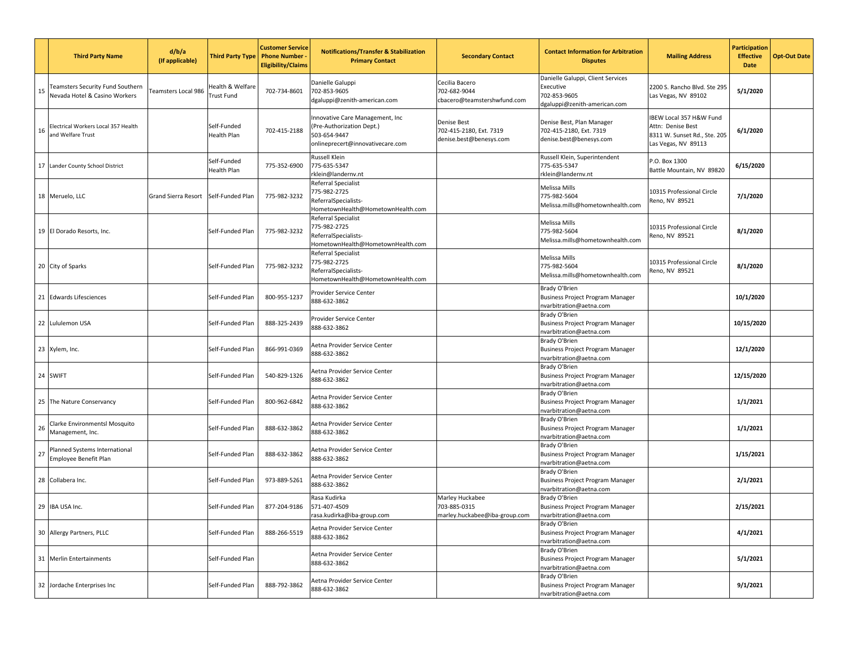|    | <b>Third Party Name</b>                                           | d/b/a<br>(If applicable)   | <b>Third Party Type</b>               | <b>Customer Service</b><br><b>Phone Number</b><br><b>Eligibility/Claims</b> | <b>Notifications/Transfer &amp; Stabilization</b><br><b>Primary Contact</b>                                      | <b>Secondary Contact</b>                                          | <b>Contact Information for Arbitration</b><br><b>Disputes</b>                                  | <b>Mailing Address</b>                                                                              | <b>Participation</b><br><b>Effective</b><br><b>Date</b> | <b>Opt-Out Date</b> |
|----|-------------------------------------------------------------------|----------------------------|---------------------------------------|-----------------------------------------------------------------------------|------------------------------------------------------------------------------------------------------------------|-------------------------------------------------------------------|------------------------------------------------------------------------------------------------|-----------------------------------------------------------------------------------------------------|---------------------------------------------------------|---------------------|
| 15 | Teamsters Security Fund Southern<br>Nevada Hotel & Casino Workers | <b>Teamsters Local 986</b> | lealth & Welfare<br><b>Trust Fund</b> | 702-734-8601                                                                | Danielle Galuppi<br>702-853-9605<br>dgaluppi@zenith-american.com                                                 | Cecilia Bacero<br>702-682-9044<br>cbacero@teamstershwfund.com     | Danielle Galuppi, Client Services<br>Executive<br>702-853-9605<br>dgaluppi@zenith-american.com | 2200 S. Rancho Blvd. Ste 295<br>Las Vegas, NV 89102                                                 | 5/1/2020                                                |                     |
| 16 | Electrical Workers Local 357 Health<br>and Welfare Trust          |                            | Self-Funded<br>Health Plan            | 702-415-2188                                                                | Innovative Care Management, Inc<br>(Pre-Authorization Dept.)<br>503-654-9447<br>onlineprecert@innovativecare.com | Denise Best<br>702-415-2180, Ext. 7319<br>denise.best@benesys.com | Denise Best, Plan Manager<br>702-415-2180, Ext. 7319<br>denise.best@benesys.com                | IBEW Local 357 H&W Fund<br>Attn: Denise Best<br>8311 W. Sunset Rd., Ste. 205<br>Las Vegas, NV 89113 | 6/1/2020                                                |                     |
|    | 17 Lander County School District                                  |                            | Self-Funded<br>Health Plan            | 775-352-6900                                                                | Russell Klein<br>775-635-5347<br>rklein@landernv.nt                                                              |                                                                   | Russell Klein, Superintendent<br>775-635-5347<br>rklein@landernv.nt                            | P.O. Box 1300<br>Battle Mountain, NV 89820                                                          | 6/15/2020                                               |                     |
|    | 18 Meruelo, LLC                                                   | Grand Sierra Resort        | Self-Funded Plan                      | 775-982-3232                                                                | Referral Specialist<br>775-982-2725<br>ReferralSpecialists-<br>HometownHealth@HometownHealth.com                 |                                                                   | Melissa Mills<br>775-982-5604<br>Melissa.mills@hometownhealth.com                              | 10315 Professional Circle<br>Reno, NV 89521                                                         | 7/1/2020                                                |                     |
|    | 19 El Dorado Resorts, Inc.                                        |                            | Self-Funded Plan                      | 775-982-3232                                                                | Referral Specialist<br>775-982-2725<br>ReferralSpecialists-<br>HometownHealth@HometownHealth.com                 |                                                                   | Melissa Mills<br>775-982-5604<br>Melissa.mills@hometownhealth.com                              | 10315 Professional Circle<br>Reno, NV 89521                                                         | 8/1/2020                                                |                     |
|    | 20 City of Sparks                                                 |                            | Self-Funded Plan                      | 775-982-3232                                                                | Referral Specialist<br>775-982-2725<br>ReferralSpecialists-<br>HometownHealth@HometownHealth.com                 |                                                                   | Melissa Mills<br>775-982-5604<br>Melissa.mills@hometownhealth.com                              | 10315 Professional Circle<br>Reno, NV 89521                                                         | 8/1/2020                                                |                     |
|    | 21 Edwards Lifesciences                                           |                            | Self-Funded Plan                      | 800-955-1237                                                                | Provider Service Center<br>888-632-3862                                                                          |                                                                   | Brady O'Brien<br>Business Project Program Manager<br>nvarbitration@aetna.com                   |                                                                                                     | 10/1/2020                                               |                     |
|    | 22 Lululemon USA                                                  |                            | Self-Funded Plan                      | 888-325-2439                                                                | Provider Service Center<br>888-632-3862                                                                          |                                                                   | Brady O'Brien<br>Business Project Program Manager<br>nvarbitration@aetna.com                   |                                                                                                     | 10/15/2020                                              |                     |
|    | 23 Xylem, Inc.                                                    |                            | Self-Funded Plan                      | 866-991-0369                                                                | Aetna Provider Service Center<br>888-632-3862                                                                    |                                                                   | Brady O'Brien<br>Business Project Program Manager<br>nvarbitration@aetna.com                   |                                                                                                     | 12/1/2020                                               |                     |
|    | 24 SWIFT                                                          |                            | Self-Funded Plan                      | 540-829-1326                                                                | Aetna Provider Service Center<br>888-632-3862                                                                    |                                                                   | Brady O'Brien<br>Business Project Program Manager<br>nvarbitration@aetna.com                   |                                                                                                     | 12/15/2020                                              |                     |
|    | 25 The Nature Conservancy                                         |                            | Self-Funded Plan                      | 800-962-6842                                                                | Aetna Provider Service Center<br>888-632-3862                                                                    |                                                                   | Brady O'Brien<br>Business Project Program Manager<br>nvarbitration@aetna.com                   |                                                                                                     | 1/1/2021                                                |                     |
| 26 | Clarke Environmentsl Mosquito<br>Management, Inc.                 |                            | Self-Funded Plan                      | 888-632-3862                                                                | Aetna Provider Service Center<br>888-632-3862                                                                    |                                                                   | Brady O'Brien<br>Business Project Program Manager<br>nvarbitration@aetna.com                   |                                                                                                     | 1/1/2021                                                |                     |
| 27 | Planned Systems International<br>Employee Benefit Plan            |                            | Self-Funded Plan                      | 888-632-3862                                                                | Aetna Provider Service Center<br>888-632-3862                                                                    |                                                                   | Brady O'Brien<br>Business Project Program Manager<br>nvarbitration@aetna.com                   |                                                                                                     | 1/15/2021                                               |                     |
|    | 28 Collabera Inc.                                                 |                            | Self-Funded Plan                      | 973-889-5261                                                                | Aetna Provider Service Center<br>888-632-3862                                                                    |                                                                   | Brady O'Brien<br>Business Project Program Manager<br>nvarbitration@aetna.com                   |                                                                                                     | 2/1/2021                                                |                     |
|    | 29 IBA USA Inc.                                                   |                            | Self-Funded Plan                      | 877-204-9186                                                                | Rasa Kudirka<br>571-407-4509<br>rasa.kudirka@iba-group.com                                                       | Marley Huckabee<br>703-885-0315<br>marley.huckabee@iba-group.com  | Brady O'Brien<br>Business Project Program Manager<br>nvarbitration@aetna.com                   |                                                                                                     | 2/15/2021                                               |                     |
|    | 30 Allergy Partners, PLLC                                         |                            | Self-Funded Plan                      | 888-266-5519                                                                | Aetna Provider Service Center<br>888-632-3862                                                                    |                                                                   | Brady O'Brien<br>Business Project Program Manager<br>nvarbitration@aetna.com                   |                                                                                                     | 4/1/2021                                                |                     |
|    | 31 Merlin Entertainments                                          |                            | Self-Funded Plan                      |                                                                             | Aetna Provider Service Center<br>888-632-3862                                                                    |                                                                   | Brady O'Brien<br>Business Project Program Manager<br>nvarbitration@aetna.com                   |                                                                                                     | 5/1/2021                                                |                     |
|    | 32 Jordache Enterprises Inc                                       |                            | Self-Funded Plan                      | 888-792-3862                                                                | Aetna Provider Service Center<br>888-632-3862                                                                    |                                                                   | Brady O'Brien<br>Business Project Program Manager<br>nvarbitration@aetna.com                   |                                                                                                     | 9/1/2021                                                |                     |